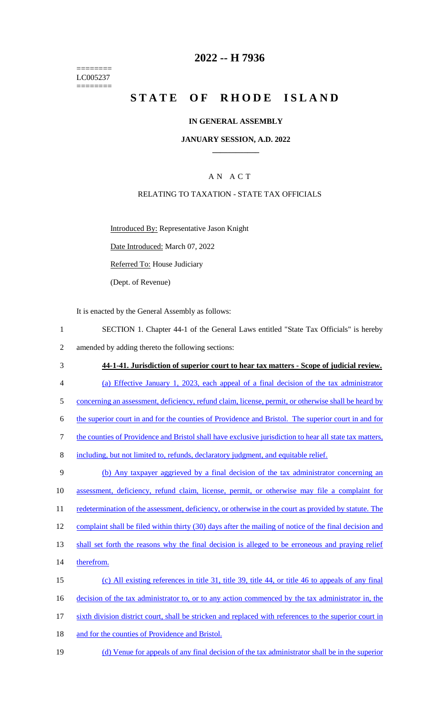======== LC005237 ========

# **2022 -- H 7936**

# **STATE OF RHODE ISLAND**

#### **IN GENERAL ASSEMBLY**

#### **JANUARY SESSION, A.D. 2022 \_\_\_\_\_\_\_\_\_\_\_\_**

# A N A C T

#### RELATING TO TAXATION - STATE TAX OFFICIALS

Introduced By: Representative Jason Knight

Date Introduced: March 07, 2022

Referred To: House Judiciary

(Dept. of Revenue)

It is enacted by the General Assembly as follows:

- 1 SECTION 1. Chapter 44-1 of the General Laws entitled "State Tax Officials" is hereby 2 amended by adding thereto the following sections:
- 3 **44-1-41. Jurisdiction of superior court to hear tax matters - Scope of judicial review.** 4 (a) Effective January 1, 2023, each appeal of a final decision of the tax administrator 5 concerning an assessment, deficiency, refund claim, license, permit, or otherwise shall be heard by 6 the superior court in and for the counties of Providence and Bristol. The superior court in and for 7 the counties of Providence and Bristol shall have exclusive jurisdiction to hear all state tax matters, 8 including, but not limited to, refunds, declaratory judgment, and equitable relief. 9 (b) Any taxpayer aggrieved by a final decision of the tax administrator concerning an 10 assessment, deficiency, refund claim, license, permit, or otherwise may file a complaint for 11 redetermination of the assessment, deficiency, or otherwise in the court as provided by statute. The 12 complaint shall be filed within thirty (30) days after the mailing of notice of the final decision and 13 shall set forth the reasons why the final decision is alleged to be erroneous and praying relief 14 therefrom. 15 (c) All existing references in title 31, title 39, title 44, or title 46 to appeals of any final 16 decision of the tax administrator to, or to any action commenced by the tax administrator in, the 17 sixth division district court, shall be stricken and replaced with references to the superior court in
- 18 and for the counties of Providence and Bristol.
- 19 (d) Venue for appeals of any final decision of the tax administrator shall be in the superior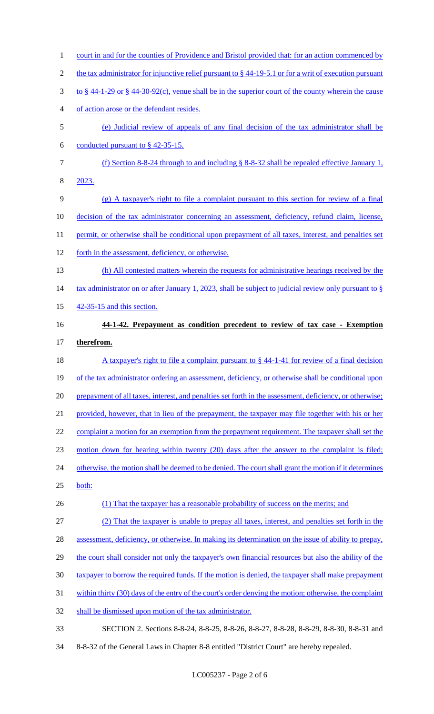1 court in and for the counties of Providence and Bristol provided that: for an action commenced by 2 the tax administrator for injunctive relief pursuant to § 44-19-5.1 or for a writ of execution pursuant 3 to § 44-1-29 or § 44-30-92(c), venue shall be in the superior court of the county wherein the cause 4 of action arose or the defendant resides. 5 (e) Judicial review of appeals of any final decision of the tax administrator shall be 6 conducted pursuant to  $§$  42-35-15. 7 (f) Section 8-8-24 through to and including § 8-8-32 shall be repealed effective January 1, 8 2023. 9 (g) A taxpayer's right to file a complaint pursuant to this section for review of a final 10 decision of the tax administrator concerning an assessment, deficiency, refund claim, license, 11 permit, or otherwise shall be conditional upon prepayment of all taxes, interest, and penalties set 12 forth in the assessment, deficiency, or otherwise. 13 (h) All contested matters wherein the requests for administrative hearings received by the 14 tax administrator on or after January 1, 2023, shall be subject to judicial review only pursuant to § 15 42-35-15 and this section. 16 **44-1-42. Prepayment as condition precedent to review of tax case - Exemption** 17 **therefrom.** 18 A taxpayer's right to file a complaint pursuant to § 44-1-41 for review of a final decision 19 of the tax administrator ordering an assessment, deficiency, or otherwise shall be conditional upon 20 prepayment of all taxes, interest, and penalties set forth in the assessment, deficiency, or otherwise; 21 provided, however, that in lieu of the prepayment, the taxpayer may file together with his or her 22 complaint a motion for an exemption from the prepayment requirement. The taxpayer shall set the 23 motion down for hearing within twenty (20) days after the answer to the complaint is filed; 24 otherwise, the motion shall be deemed to be denied. The court shall grant the motion if it determines 25 both: 26 (1) That the taxpayer has a reasonable probability of success on the merits; and 27 (2) That the taxpayer is unable to prepay all taxes, interest, and penalties set forth in the 28 assessment, deficiency, or otherwise. In making its determination on the issue of ability to prepay, 29 the court shall consider not only the taxpayer's own financial resources but also the ability of the 30 taxpayer to borrow the required funds. If the motion is denied, the taxpayer shall make prepayment 31 within thirty (30) days of the entry of the court's order denying the motion; otherwise, the complaint 32 shall be dismissed upon motion of the tax administrator. 33 SECTION 2. Sections 8-8-24, 8-8-25, 8-8-26, 8-8-27, 8-8-28, 8-8-29, 8-8-30, 8-8-31 and 34 8-8-32 of the General Laws in Chapter 8-8 entitled "District Court" are hereby repealed.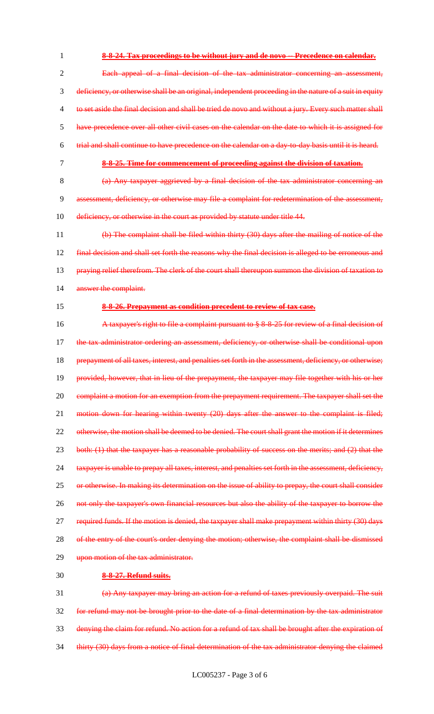**8-8-24. Tax proceedings to be without jury and de novo -- Precedence on calendar.** Each appeal of a final decision of the tax administrator concerning an assessment, deficiency, or otherwise shall be an original, independent proceeding in the nature of a suit in equity to set aside the final decision and shall be tried de novo and without a jury. Every such matter shall have precedence over all other civil cases on the calendar on the date to which it is assigned for trial and shall continue to have precedence on the calendar on a day-to-day basis until it is heard. **8-8-25. Time for commencement of proceeding against the division of taxation.**

8 (a) Any taxpayer aggrieved by a final decision of the tax administrator concerning an 9 assessment, deficiency, or otherwise may file a complaint for redetermination of the assessment, 10 deficiency, or otherwise in the court as provided by statute under title 44.

11 (b) The complaint shall be filed within thirty (30) days after the mailing of notice of the 12 final decision and shall set forth the reasons why the final decision is alleged to be erroneous and 13 praying relief therefrom. The clerk of the court shall thereupon summon the division of taxation to 14 answer the complaint.

#### 15 **8-8-26. Prepayment as condition precedent to review of tax case.**

16 A taxpayer's right to file a complaint pursuant to § 8-8-25 for review of a final decision of 17 the tax administrator ordering an assessment, deficiency, or otherwise shall be conditional upon 18 prepayment of all taxes, interest, and penalties set forth in the assessment, deficiency, or otherwise; 19 provided, however, that in lieu of the prepayment, the taxpayer may file together with his or her 20 complaint a motion for an exemption from the prepayment requirement. The taxpayer shall set the 21 motion down for hearing within twenty (20) days after the answer to the complaint is filed; 22 otherwise, the motion shall be deemed to be denied. The court shall grant the motion if it determines 23 both: (1) that the taxpayer has a reasonable probability of success on the merits; and (2) that the 24 taxpayer is unable to prepay all taxes, interest, and penalties set forth in the assessment, deficiency, 25 or otherwise. In making its determination on the issue of ability to prepay, the court shall consider 26 not only the taxpayer's own financial resources but also the ability of the taxpayer to borrow the 27 required funds. If the motion is denied, the taxpayer shall make prepayment within thirty (30) days 28 of the entry of the court's order denying the motion; otherwise, the complaint shall be dismissed 29 upon motion of the tax administrator.

#### 30 **8-8-27. Refund suits.**

 (a) Any taxpayer may bring an action for a refund of taxes previously overpaid. The suit for refund may not be brought prior to the date of a final determination by the tax administrator denying the claim for refund. No action for a refund of tax shall be brought after the expiration of 34 thirty (30) days from a notice of final determination of the tax administrator denying the claimed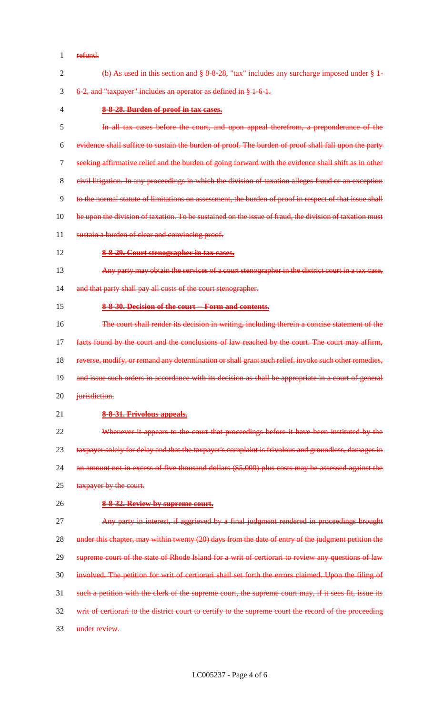refund.

| $\overline{2}$ | (b) As used in this section and $\S 8.8.28$ , "tax" includes any surcharge imposed under $\S 1$ -      |
|----------------|--------------------------------------------------------------------------------------------------------|
| 3              | 6-2, and "taxpayer" includes an operator as defined in § 1-6-1.                                        |
| 4              | 8-8-28. Burden of proof in tax cases.                                                                  |
| 5              | In all tax cases before the court, and upon appeal therefrom, a preponderance of the                   |
| 6              | evidence shall suffice to sustain the burden of proof. The burden of proof shall fall upon the party   |
| 7              | seeking affirmative relief and the burden of going forward with the evidence shall shift as in other   |
| 8              | eivil litigation. In any proceedings in which the division of taxation alleges fraud or an exception   |
| 9              | to the normal statute of limitations on assessment, the burden of proof in respect of that issue shall |
| 10             | be upon the division of taxation. To be sustained on the issue of fraud, the division of taxation must |
| 11             | sustain a burden of clear and convincing proof.                                                        |
| 12             | 8-8-29. Court stenographer in tax cases.                                                               |
| 13             | Any party may obtain the services of a court stenographer in the district court in a tax case,         |
| 14             | and that party shall pay all costs of the court stenographer.                                          |
| 15             | 8-8-30. Decision of the court -- Form and contents.                                                    |
| 16             | The court shall render its decision in writing, including therein a concise statement of the           |
| 17             | facts found by the court and the conclusions of law reached by the court. The court may affirm,        |
| 18             | reverse, modify, or remand any determination or shall grant such relief, invoke such other remedies,   |
| 19             | and issue such orders in accordance with its decision as shall be appropriate in a court of general    |
| 20             | jurisdiction.                                                                                          |
| 21             | 8-8-31. Frivolous appeals.                                                                             |
| 22             | Whenever it appears to the court that proceedings before it have been instituted by the                |
| 23             | taxpayer solely for delay and that the taxpayer's complaint is frivolous and groundless, damages in    |
| 24             | an amount not in excess of five thousand dollars (\$5,000) plus costs may be assessed against the      |
| 25             | taxpayer by the court.                                                                                 |
| 26             | 8-8-32. Review by supreme court.                                                                       |
| 27             | Any party in interest, if aggrieved by a final judgment rendered in proceedings brought                |
| 28             | under this chapter, may within twenty (20) days from the date of entry of the judgment petition the    |
| 29             | supreme court of the state of Rhode Island for a writ of certiorari to review any questions of law     |
| 30             | involved. The petition for writ of certiorari shall set forth the errors claimed. Upon the filing of   |
| 31             | such a petition with the clerk of the supreme court, the supreme court may, if it sees fit, issue its  |
| 32             | writ of certiorari to the district court to certify to the supreme court the record of the proceeding  |
| 33             | under review.                                                                                          |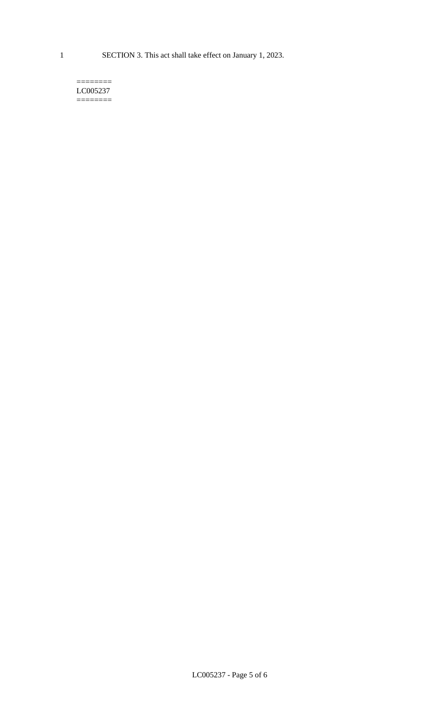1 SECTION 3. This act shall take effect on January 1, 2023.